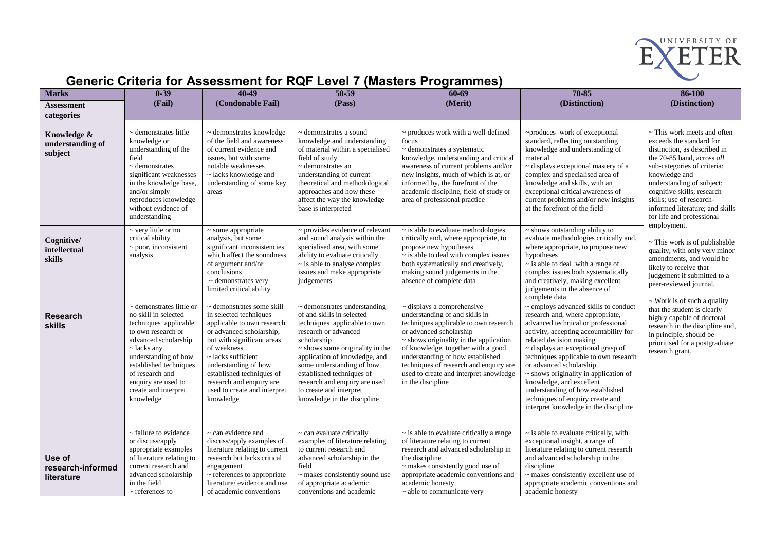

## **Generic Criteria for Assessment for RQF Level 7 (Masters Programmes)**

| <b>Marks</b>                               | $0 - 39$                                                                                                                                                                                                                                                                          | 40-49                                                                                                                                                                                                                                                                                                                    | $50 - 59$                                                                                                                                                                                                                                                                                                                                                           | 60-69                                                                                                                                                                                                                                                                                                                                                                   | 70-85                                                                                                                                                                                                                                                                                                                                                                                                                                                                                         | 86-100                                                                                                                                                                                                                                                                                                                                      |
|--------------------------------------------|-----------------------------------------------------------------------------------------------------------------------------------------------------------------------------------------------------------------------------------------------------------------------------------|--------------------------------------------------------------------------------------------------------------------------------------------------------------------------------------------------------------------------------------------------------------------------------------------------------------------------|---------------------------------------------------------------------------------------------------------------------------------------------------------------------------------------------------------------------------------------------------------------------------------------------------------------------------------------------------------------------|-------------------------------------------------------------------------------------------------------------------------------------------------------------------------------------------------------------------------------------------------------------------------------------------------------------------------------------------------------------------------|-----------------------------------------------------------------------------------------------------------------------------------------------------------------------------------------------------------------------------------------------------------------------------------------------------------------------------------------------------------------------------------------------------------------------------------------------------------------------------------------------|---------------------------------------------------------------------------------------------------------------------------------------------------------------------------------------------------------------------------------------------------------------------------------------------------------------------------------------------|
| Assessment                                 | (Fail)                                                                                                                                                                                                                                                                            | (Condonable Fail)                                                                                                                                                                                                                                                                                                        | (Pass)                                                                                                                                                                                                                                                                                                                                                              | (Merit)                                                                                                                                                                                                                                                                                                                                                                 | (Distinction)                                                                                                                                                                                                                                                                                                                                                                                                                                                                                 | (Distinction)                                                                                                                                                                                                                                                                                                                               |
| categories                                 |                                                                                                                                                                                                                                                                                   |                                                                                                                                                                                                                                                                                                                          |                                                                                                                                                                                                                                                                                                                                                                     |                                                                                                                                                                                                                                                                                                                                                                         |                                                                                                                                                                                                                                                                                                                                                                                                                                                                                               |                                                                                                                                                                                                                                                                                                                                             |
| Knowledge &<br>understanding of<br>subject | ~ demonstrates little<br>knowledge or<br>understanding of the<br>field<br>$\sim$ demonstrates<br>significant weaknesses<br>in the knowledge base,<br>and/or simply<br>reproduces knowledge<br>without evidence of<br>understanding                                                | ~ demonstrates knowledge<br>of the field and awareness<br>of current evidence and<br>issues, but with some<br>notable weaknesses<br>$\sim$ lacks knowledge and<br>understanding of some key<br>areas                                                                                                                     | ~ demonstrates a sound<br>knowledge and understanding<br>of material within a specialised<br>field of study<br>$\sim$ demonstrates an<br>understanding of current<br>theoretical and methodological<br>approaches and how these<br>affect the way the knowledge<br>base is interpreted                                                                              | $\sim$ produces work with a well-defined<br>focus<br>$\sim$ demonstrates a systematic<br>knowledge, understanding and critical<br>awareness of current problems and/or<br>new insights, much of which is at, or<br>informed by, the forefront of the<br>academic discipline, field of study or<br>area of professional practice                                         | ~produces work of exceptional<br>standard, reflecting outstanding<br>knowledge and understanding of<br>material<br>~ displays exceptional mastery of a<br>complex and specialised area of<br>knowledge and skills, with an<br>exceptional critical awareness of<br>current problems and/or new insights<br>at the forefront of the field                                                                                                                                                      | ~ This work meets and often<br>exceeds the standard for<br>distinction, as described in<br>the 70-85 band, across all<br>sub-categories of criteria:<br>knowledge and<br>understanding of subject;<br>cognitive skills; research<br>skills; use of research-<br>informed literature; and skills<br>for life and professional<br>employment. |
| Cognitive/<br>intellectual<br>skills       | ~ very little or no<br>critical ability<br>$\sim$ poor, inconsistent<br>analysis                                                                                                                                                                                                  | $\sim$ some appropriate<br>analysis, but some<br>significant inconsistencies<br>which affect the soundness<br>of argument and/or<br>conclusions<br>$\sim$ demonstrates very<br>limited critical ability                                                                                                                  | ~ provides evidence of relevant<br>and sound analysis within the<br>specialised area, with some<br>ability to evaluate critically<br>$\sim$ is able to analyse complex<br>issues and make appropriate<br>judgements                                                                                                                                                 | $\sim$ is able to evaluate methodologies<br>critically and, where appropriate, to<br>propose new hypotheses<br>$\sim$ is able to deal with complex issues<br>both systematically and creatively,<br>making sound judgements in the<br>absence of complete data                                                                                                          | $\sim$ shows outstanding ability to<br>evaluate methodologies critically and,<br>where appropriate, to propose new<br>hypotheses<br>$\sim$ is able to deal with a range of<br>complex issues both systematically<br>and creatively, making excellent<br>judgements in the absence of<br>complete data                                                                                                                                                                                         | $\sim$ This work is of publishable<br>quality, with only very minor<br>amendments, and would be<br>likely to receive that<br>judgement if submitted to a<br>peer-reviewed journal.<br>$\sim$ Work is of such a quality                                                                                                                      |
| <b>Research</b><br><b>skills</b>           | $\sim$ demonstrates little or<br>no skill in selected<br>techniques applicable<br>to own research or<br>advanced scholarship<br>$\sim$ lacks any<br>understanding of how<br>established techniques<br>of research and<br>enquiry are used to<br>create and interpret<br>knowledge | $\sim$ demonstrates some skill<br>in selected techniques<br>applicable to own research<br>or advanced scholarship,<br>but with significant areas<br>of weakness<br>$\sim$ lacks sufficient<br>understanding of how<br>established techniques of<br>research and enquiry are<br>used to create and interpret<br>knowledge | $\sim$ demonstrates understanding<br>of and skills in selected<br>techniques applicable to own<br>research or advanced<br>scholarship<br>$\sim$ shows some originality in the<br>application of knowledge, and<br>some understanding of how<br>established techniques of<br>research and enquiry are used<br>to create and interpret<br>knowledge in the discipline | $\sim$ displays a comprehensive<br>understanding of and skills in<br>techniques applicable to own research<br>or advanced scholarship<br>$\sim$ shows originality in the application<br>of knowledge, together with a good<br>understanding of how established<br>techniques of research and enquiry are<br>used to create and interpret knowledge<br>in the discipline | ~ employs advanced skills to conduct<br>research and, where appropriate,<br>advanced technical or professional<br>activity, accepting accountability for<br>related decision making<br>$\sim$ displays an exceptional grasp of<br>techniques applicable to own research<br>or advanced scholarship<br>$\sim$ shows originality in application of<br>knowledge, and excellent<br>understanding of how established<br>techniques of enquiry create and<br>interpret knowledge in the discipline | that the student is clearly<br>highly capable of doctoral<br>research in the discipline and,<br>in principle, should be<br>prioritised for a postgraduate<br>research grant.                                                                                                                                                                |
| Use of<br>research-informed<br>literature  | $\sim$ failure to evidence<br>or discuss/apply<br>appropriate examples<br>of literature relating to<br>current research and<br>advanced scholarship<br>in the field<br>$\sim$ references to                                                                                       | $\sim$ can evidence and<br>discuss/apply examples of<br>literature relating to current<br>research but lacks critical<br>engagement<br>$\sim$ references to appropriate<br>literature/evidence and use<br>of academic conventions                                                                                        | $\sim$ can evaluate critically<br>examples of literature relating<br>to current research and<br>advanced scholarship in the<br>field<br>$\sim$ makes consistently sound use<br>of appropriate academic<br>conventions and academic                                                                                                                                  | $\sim$ is able to evaluate critically a range<br>of literature relating to current<br>research and advanced scholarship in<br>the discipline<br>$\sim$ makes consistently good use of<br>appropriate academic conventions and<br>academic honesty<br>$\sim$ able to communicate very                                                                                    | $\sim$ is able to evaluate critically, with<br>exceptional insight, a range of<br>literature relating to current research<br>and advanced scholarship in the<br>discipline<br>$\sim$ makes consistently excellent use of<br>appropriate academic conventions and<br>academic honesty                                                                                                                                                                                                          |                                                                                                                                                                                                                                                                                                                                             |